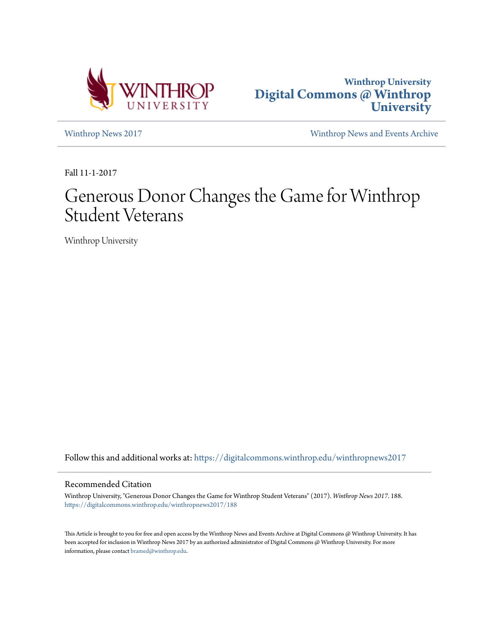



[Winthrop News 2017](https://digitalcommons.winthrop.edu/winthropnews2017?utm_source=digitalcommons.winthrop.edu%2Fwinthropnews2017%2F188&utm_medium=PDF&utm_campaign=PDFCoverPages) [Winthrop News and Events Archive](https://digitalcommons.winthrop.edu/winthropnewsarchives?utm_source=digitalcommons.winthrop.edu%2Fwinthropnews2017%2F188&utm_medium=PDF&utm_campaign=PDFCoverPages)

Fall 11-1-2017

# Generous Donor Changes the Game for Winthrop Student Veterans

Winthrop University

Follow this and additional works at: [https://digitalcommons.winthrop.edu/winthropnews2017](https://digitalcommons.winthrop.edu/winthropnews2017?utm_source=digitalcommons.winthrop.edu%2Fwinthropnews2017%2F188&utm_medium=PDF&utm_campaign=PDFCoverPages)

# Recommended Citation

Winthrop University, "Generous Donor Changes the Game for Winthrop Student Veterans" (2017). *Winthrop News 2017*. 188. [https://digitalcommons.winthrop.edu/winthropnews2017/188](https://digitalcommons.winthrop.edu/winthropnews2017/188?utm_source=digitalcommons.winthrop.edu%2Fwinthropnews2017%2F188&utm_medium=PDF&utm_campaign=PDFCoverPages)

This Article is brought to you for free and open access by the Winthrop News and Events Archive at Digital Commons @ Winthrop University. It has been accepted for inclusion in Winthrop News 2017 by an authorized administrator of Digital Commons @ Winthrop University. For more information, please contact [bramed@winthrop.edu](mailto:bramed@winthrop.edu).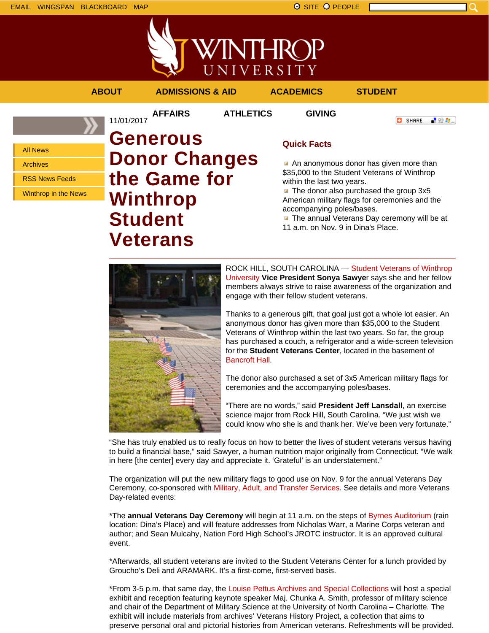



# **ABOUT ADMISSIONS & AID ACADEMICS STUDENT**

**AFFAIRS ATHLETICS GIVING**

```
O SHARE
上没身。
```
All News

Archives

RSS News Feeds

Winthrop in the News

# 11/01/2017 **Generous Donor Changes the Game for Winthrop Student Veterans**

# **Quick Facts**

An anonymous donor has given more than \$35,000 to the Student Veterans of Winthrop within the last two years.

The donor also purchased the group 3x5 American military flags for ceremonies and the accompanying poles/bases.

**The annual Veterans Day ceremony will be at** 11 a.m. on Nov. 9 in Dina's Place.



ROCK HILL, SOUTH CAROLINA — Student Veterans of Winthrop University **Vice President Sonya Sawye**r says she and her fellow members always strive to raise awareness of the organization and engage with their fellow student veterans.

Thanks to a generous gift, that goal just got a whole lot easier. An anonymous donor has given more than \$35,000 to the Student Veterans of Winthrop within the last two years. So far, the group has purchased a couch, a refrigerator and a wide-screen television for the **Student Veterans Center**, located in the basement of Bancroft Hall.

The donor also purchased a set of 3x5 American military flags for ceremonies and the accompanying poles/bases.

"There are no words," said **President Jeff Lansdall**, an exercise science major from Rock Hill, South Carolina. "We just wish we could know who she is and thank her. We've been very fortunate."

"She has truly enabled us to really focus on how to better the lives of student veterans versus having to build a financial base," said Sawyer, a human nutrition major originally from Connecticut. "We walk in here [the center] every day and appreciate it. 'Grateful' is an understatement."

The organization will put the new military flags to good use on Nov. 9 for the annual Veterans Day Ceremony, co-sponsored with Military, Adult, and Transfer Services. See details and more Veterans Day-related events:

\*The **annual Veterans Day Ceremony** will begin at 11 a.m. on the steps of Byrnes Auditorium (rain location: Dina's Place) and will feature addresses from Nicholas Warr, a Marine Corps veteran and author; and Sean Mulcahy, Nation Ford High School's JROTC instructor. It is an approved cultural event.

\*Afterwards, all student veterans are invited to the Student Veterans Center for a lunch provided by Groucho's Deli and ARAMARK. It's a first-come, first-served basis.

\*From 3-5 p.m. that same day, the Louise Pettus Archives and Special Collections will host a special exhibit and reception featuring keynote speaker Maj. Chunka A. Smith, professor of military science and chair of the Department of Military Science at the University of North Carolina – Charlotte. The exhibit will include materials from archives' Veterans History Project, a collection that aims to preserve personal oral and pictorial histories from American veterans. Refreshments will be provided.